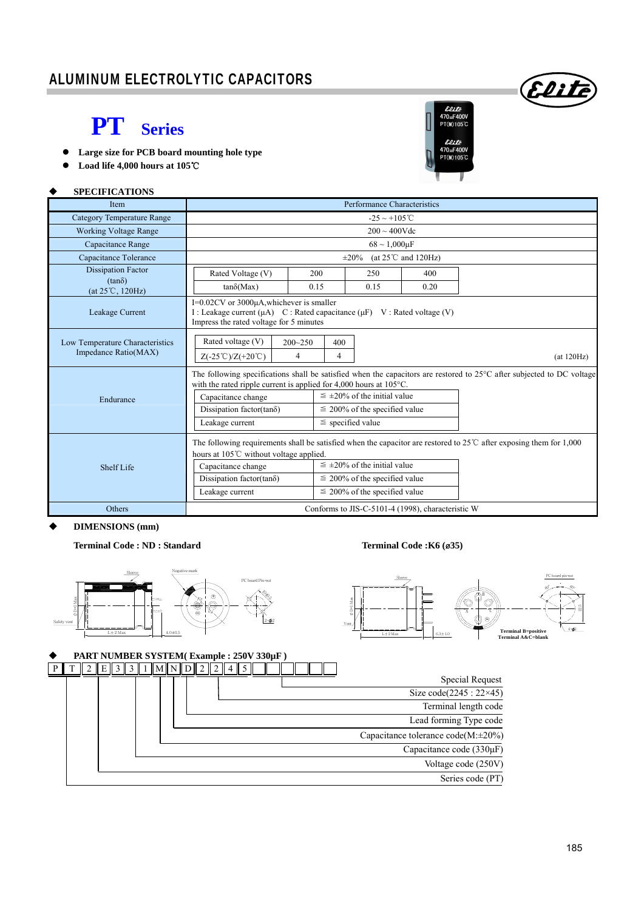### ALUMINUM ELECTROLYTIC CAPACITORS

## **PT Series**

- **Large size for PCB board mounting hole type**
- **Load life 4,000 hours at 105**℃

**SPECIFICATIONS**



(Eliti

| <b>Item</b>                                             | Performance Characteristics                                                                                                                                  |                                                                                                                                                                           |                                                                                                                  |      |                                                                                                                             |  |  |  |  |  |  |  |
|---------------------------------------------------------|--------------------------------------------------------------------------------------------------------------------------------------------------------------|---------------------------------------------------------------------------------------------------------------------------------------------------------------------------|------------------------------------------------------------------------------------------------------------------|------|-----------------------------------------------------------------------------------------------------------------------------|--|--|--|--|--|--|--|
| <b>Category Temperature Range</b>                       | $-25 \sim +105^{\circ}$ C                                                                                                                                    |                                                                                                                                                                           |                                                                                                                  |      |                                                                                                                             |  |  |  |  |  |  |  |
| <b>Working Voltage Range</b>                            | $200 \sim 400$ Vdc                                                                                                                                           |                                                                                                                                                                           |                                                                                                                  |      |                                                                                                                             |  |  |  |  |  |  |  |
| Capacitance Range                                       | $68 \sim 1,000 \mu F$                                                                                                                                        |                                                                                                                                                                           |                                                                                                                  |      |                                                                                                                             |  |  |  |  |  |  |  |
| Capacitance Tolerance                                   |                                                                                                                                                              | (at $25^{\circ}$ C and 120Hz)<br>$\pm 20\%$                                                                                                                               |                                                                                                                  |      |                                                                                                                             |  |  |  |  |  |  |  |
| <b>Dissipation Factor</b>                               | Rated Voltage (V)                                                                                                                                            | 200                                                                                                                                                                       | 250                                                                                                              | 400  |                                                                                                                             |  |  |  |  |  |  |  |
| $(tan\delta)$<br>$(at 25^{\circ}C, 120Hz)$              | $tan\delta(Max)$                                                                                                                                             | 0.15                                                                                                                                                                      | 0.15                                                                                                             | 0.20 |                                                                                                                             |  |  |  |  |  |  |  |
| Leakage Current                                         |                                                                                                                                                              | I=0.02CV or 3000µA,whichever is smaller<br>I : Leakage current $(\mu A)$ C : Rated capacitance $(\mu F)$ V : Rated voltage (V)<br>Impress the rated voltage for 5 minutes |                                                                                                                  |      |                                                                                                                             |  |  |  |  |  |  |  |
| Low Temperature Characteristics<br>Impedance Ratio(MAX) | Rated voltage (V)<br>400<br>$200 - 250$<br>$Z(-25^{\circ}\text{C})/Z(+20^{\circ}\text{C})$<br>$\overline{4}$<br>4<br>(at 120Hz)                              |                                                                                                                                                                           |                                                                                                                  |      |                                                                                                                             |  |  |  |  |  |  |  |
| Endurance                                               | with the rated ripple current is applied for $4,000$ hours at $105^{\circ}$ C.<br>Capacitance change<br>Dissipation factor(tan $\delta$ )<br>Leakage current | The following specifications shall be satisfied when the capacitors are restored to 25°C after subjected to DC voltage                                                    |                                                                                                                  |      |                                                                                                                             |  |  |  |  |  |  |  |
| <b>Shelf Life</b>                                       | hours at 105℃ without voltage applied.<br>Capacitance change<br>Dissipation factor(tan $\delta$ )<br>Leakage current                                         |                                                                                                                                                                           | $\leq \pm 20\%$ of the initial value<br>$\leq$ 200% of the specified value<br>$\leq$ 200% of the specified value |      | The following requirements shall be satisfied when the capacitor are restored to $25^{\circ}$ after exposing them for 1,000 |  |  |  |  |  |  |  |
| Others                                                  | Conforms to JIS-C-5101-4 (1998), characteristic W                                                                                                            |                                                                                                                                                                           |                                                                                                                  |      |                                                                                                                             |  |  |  |  |  |  |  |

#### **DIMENSIONS (mm)**

**Terminal Code : ND : Standard Terminal Code :K6 (**ø**35)** 







#### **PART NUMBER SYSTEM( Example : 250V 330µF )**